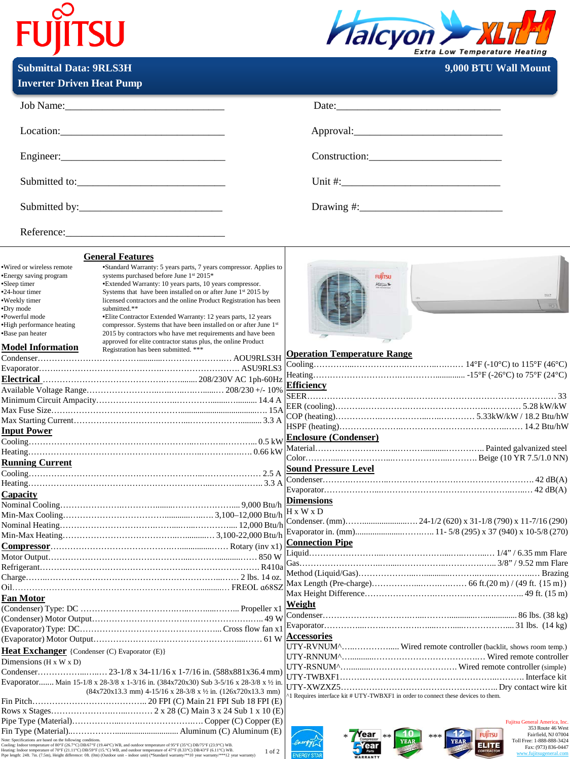## **FUJITSU**



**Submittal Data: 9RLS3H 9,000 BTU Wall Mount** 

| <b>Inverter Driven Heat Pump</b>                                                                                                                                                                                                                                                                                 |                                                                                                                                                                                                                                                                                                                                                                                                                                                                                                                                                                                                                                               |                                                                                             |
|------------------------------------------------------------------------------------------------------------------------------------------------------------------------------------------------------------------------------------------------------------------------------------------------------------------|-----------------------------------------------------------------------------------------------------------------------------------------------------------------------------------------------------------------------------------------------------------------------------------------------------------------------------------------------------------------------------------------------------------------------------------------------------------------------------------------------------------------------------------------------------------------------------------------------------------------------------------------------|---------------------------------------------------------------------------------------------|
|                                                                                                                                                                                                                                                                                                                  |                                                                                                                                                                                                                                                                                                                                                                                                                                                                                                                                                                                                                                               |                                                                                             |
|                                                                                                                                                                                                                                                                                                                  | Location:                                                                                                                                                                                                                                                                                                                                                                                                                                                                                                                                                                                                                                     |                                                                                             |
|                                                                                                                                                                                                                                                                                                                  |                                                                                                                                                                                                                                                                                                                                                                                                                                                                                                                                                                                                                                               | Construction: Construction:                                                                 |
|                                                                                                                                                                                                                                                                                                                  |                                                                                                                                                                                                                                                                                                                                                                                                                                                                                                                                                                                                                                               |                                                                                             |
|                                                                                                                                                                                                                                                                                                                  |                                                                                                                                                                                                                                                                                                                                                                                                                                                                                                                                                                                                                                               |                                                                                             |
|                                                                                                                                                                                                                                                                                                                  |                                                                                                                                                                                                                                                                                                                                                                                                                                                                                                                                                                                                                                               |                                                                                             |
|                                                                                                                                                                                                                                                                                                                  | <b>General Features</b>                                                                                                                                                                                                                                                                                                                                                                                                                                                                                                                                                                                                                       |                                                                                             |
| ·Wired or wireless remote<br>•Energy saving program<br>•Sleep timer<br>•24-hour timer<br>•Weekly timer<br>•Dry mode<br>•Powerful mode<br>·High performance heating<br>•Base pan heater<br><b>Model Information</b>                                                                                               | *Standard Warranty: 5 years parts, 7 years compressor. Applies to<br>systems purchased before June 1st 2015*<br>*Extended Warranty: 10 years parts, 10 years compressor.<br>Systems that have been installed on or after June 1st 2015 by<br>licensed contractors and the online Product Registration has been<br>submitted.**<br>• Elite Contractor Extended Warranty: 12 years parts, 12 years<br>compressor. Systems that have been installed on or after June 1st<br>2015 by contractors who have met requirements and have been<br>approved for elite contractor status plus, the online Product<br>Registration has been submitted. *** | <b>FUITSU</b><br>Hatson &                                                                   |
|                                                                                                                                                                                                                                                                                                                  |                                                                                                                                                                                                                                                                                                                                                                                                                                                                                                                                                                                                                                               | <b>Operation Temperature Range</b>                                                          |
|                                                                                                                                                                                                                                                                                                                  |                                                                                                                                                                                                                                                                                                                                                                                                                                                                                                                                                                                                                                               |                                                                                             |
|                                                                                                                                                                                                                                                                                                                  |                                                                                                                                                                                                                                                                                                                                                                                                                                                                                                                                                                                                                                               | <b>Efficiency</b>                                                                           |
|                                                                                                                                                                                                                                                                                                                  |                                                                                                                                                                                                                                                                                                                                                                                                                                                                                                                                                                                                                                               |                                                                                             |
|                                                                                                                                                                                                                                                                                                                  |                                                                                                                                                                                                                                                                                                                                                                                                                                                                                                                                                                                                                                               |                                                                                             |
|                                                                                                                                                                                                                                                                                                                  |                                                                                                                                                                                                                                                                                                                                                                                                                                                                                                                                                                                                                                               |                                                                                             |
|                                                                                                                                                                                                                                                                                                                  |                                                                                                                                                                                                                                                                                                                                                                                                                                                                                                                                                                                                                                               |                                                                                             |
| <b>Input Power</b>                                                                                                                                                                                                                                                                                               |                                                                                                                                                                                                                                                                                                                                                                                                                                                                                                                                                                                                                                               | Enclosure (Condenser)                                                                       |
|                                                                                                                                                                                                                                                                                                                  |                                                                                                                                                                                                                                                                                                                                                                                                                                                                                                                                                                                                                                               |                                                                                             |
|                                                                                                                                                                                                                                                                                                                  |                                                                                                                                                                                                                                                                                                                                                                                                                                                                                                                                                                                                                                               |                                                                                             |
| <b>Running Current</b>                                                                                                                                                                                                                                                                                           |                                                                                                                                                                                                                                                                                                                                                                                                                                                                                                                                                                                                                                               | <b>Sound Pressure Level</b>                                                                 |
|                                                                                                                                                                                                                                                                                                                  |                                                                                                                                                                                                                                                                                                                                                                                                                                                                                                                                                                                                                                               |                                                                                             |
|                                                                                                                                                                                                                                                                                                                  |                                                                                                                                                                                                                                                                                                                                                                                                                                                                                                                                                                                                                                               |                                                                                             |
| Capacity                                                                                                                                                                                                                                                                                                         |                                                                                                                                                                                                                                                                                                                                                                                                                                                                                                                                                                                                                                               |                                                                                             |
|                                                                                                                                                                                                                                                                                                                  |                                                                                                                                                                                                                                                                                                                                                                                                                                                                                                                                                                                                                                               | $H \times W \times D$                                                                       |
|                                                                                                                                                                                                                                                                                                                  |                                                                                                                                                                                                                                                                                                                                                                                                                                                                                                                                                                                                                                               |                                                                                             |
|                                                                                                                                                                                                                                                                                                                  |                                                                                                                                                                                                                                                                                                                                                                                                                                                                                                                                                                                                                                               |                                                                                             |
|                                                                                                                                                                                                                                                                                                                  |                                                                                                                                                                                                                                                                                                                                                                                                                                                                                                                                                                                                                                               |                                                                                             |
|                                                                                                                                                                                                                                                                                                                  |                                                                                                                                                                                                                                                                                                                                                                                                                                                                                                                                                                                                                                               |                                                                                             |
|                                                                                                                                                                                                                                                                                                                  |                                                                                                                                                                                                                                                                                                                                                                                                                                                                                                                                                                                                                                               |                                                                                             |
|                                                                                                                                                                                                                                                                                                                  |                                                                                                                                                                                                                                                                                                                                                                                                                                                                                                                                                                                                                                               |                                                                                             |
|                                                                                                                                                                                                                                                                                                                  |                                                                                                                                                                                                                                                                                                                                                                                                                                                                                                                                                                                                                                               |                                                                                             |
| Fan Motor                                                                                                                                                                                                                                                                                                        |                                                                                                                                                                                                                                                                                                                                                                                                                                                                                                                                                                                                                                               |                                                                                             |
|                                                                                                                                                                                                                                                                                                                  |                                                                                                                                                                                                                                                                                                                                                                                                                                                                                                                                                                                                                                               | Weight                                                                                      |
|                                                                                                                                                                                                                                                                                                                  |                                                                                                                                                                                                                                                                                                                                                                                                                                                                                                                                                                                                                                               |                                                                                             |
|                                                                                                                                                                                                                                                                                                                  |                                                                                                                                                                                                                                                                                                                                                                                                                                                                                                                                                                                                                                               |                                                                                             |
|                                                                                                                                                                                                                                                                                                                  |                                                                                                                                                                                                                                                                                                                                                                                                                                                                                                                                                                                                                                               | <b>Accessories</b>                                                                          |
| <b>Heat Exchanger</b> {Condenser (C) Evaporator (E)}                                                                                                                                                                                                                                                             |                                                                                                                                                                                                                                                                                                                                                                                                                                                                                                                                                                                                                                               | UTY-RVNUM^ Wired remote controller (backlit, shows room temp.)                              |
| Dimensions $(H \times W \times D)$                                                                                                                                                                                                                                                                               |                                                                                                                                                                                                                                                                                                                                                                                                                                                                                                                                                                                                                                               |                                                                                             |
|                                                                                                                                                                                                                                                                                                                  |                                                                                                                                                                                                                                                                                                                                                                                                                                                                                                                                                                                                                                               |                                                                                             |
|                                                                                                                                                                                                                                                                                                                  | Evaporator Main 15-1/8 x 28-3/8 x 1-3/16 in. (384x720x30) Sub 3-5/16 x 28-3/8 x 1/2 in                                                                                                                                                                                                                                                                                                                                                                                                                                                                                                                                                        |                                                                                             |
| $(84x720x13.3$ mm) $4-15/16$ x 28-3/8 x $\frac{1}{2}$ in. $(126x720x13.3$ mm)                                                                                                                                                                                                                                    |                                                                                                                                                                                                                                                                                                                                                                                                                                                                                                                                                                                                                                               |                                                                                             |
|                                                                                                                                                                                                                                                                                                                  |                                                                                                                                                                                                                                                                                                                                                                                                                                                                                                                                                                                                                                               | <sup>1</sup> Requires interface kit # UTY-TWBXF1 in order to connect these devices to them. |
|                                                                                                                                                                                                                                                                                                                  |                                                                                                                                                                                                                                                                                                                                                                                                                                                                                                                                                                                                                                               |                                                                                             |
|                                                                                                                                                                                                                                                                                                                  |                                                                                                                                                                                                                                                                                                                                                                                                                                                                                                                                                                                                                                               | Fujitsu General America, Inc.                                                               |
|                                                                                                                                                                                                                                                                                                                  |                                                                                                                                                                                                                                                                                                                                                                                                                                                                                                                                                                                                                                               | 353 Route 46 West<br>Fairfield, NJ 07004<br>rear<br><b>FUJITSU</b><br>***                   |
| Note: Specifications are based on the following conditions.<br>Note: Specincations are based on the foutowing conditions.<br>Teoring: Indoor temperature of 10°F (21.1"C) DB163°F (19.44°C) WB, and outdoor temperature of 95°F (35°C) DB143°F (23.9°C) WB.<br>Healing: Indoor temperature of 10°F<br>$1$ of $2$ |                                                                                                                                                                                                                                                                                                                                                                                                                                                                                                                                                                                                                                               | Toll Free: 1-888-888-3424<br>ELITE<br>Fax: (973) 836-0447<br>www.fujitsugeneral.com         |